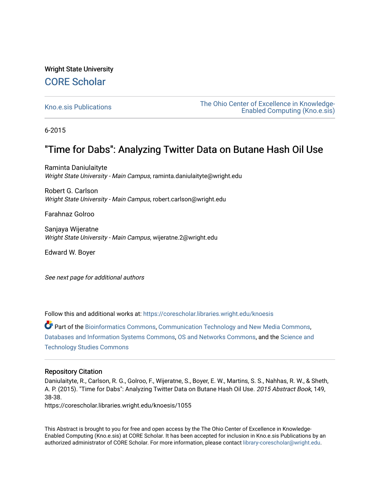# Wright State University [CORE Scholar](https://corescholar.libraries.wright.edu/)

[Kno.e.sis Publications](https://corescholar.libraries.wright.edu/knoesis) [The Ohio Center of Excellence in Knowledge-](https://corescholar.libraries.wright.edu/knoesis_comm)[Enabled Computing \(Kno.e.sis\)](https://corescholar.libraries.wright.edu/knoesis_comm) 

6-2015

# "Time for Dabs": Analyzing Twitter Data on Butane Hash Oil Use

Raminta Daniulaityte Wright State University - Main Campus, raminta.daniulaityte@wright.edu

Robert G. Carlson Wright State University - Main Campus, robert.carlson@wright.edu

Farahnaz Golroo

Sanjaya Wijeratne Wright State University - Main Campus, wijeratne.2@wright.edu

Edward W. Boyer

See next page for additional authors

Follow this and additional works at: [https://corescholar.libraries.wright.edu/knoesis](https://corescholar.libraries.wright.edu/knoesis?utm_source=corescholar.libraries.wright.edu%2Fknoesis%2F1055&utm_medium=PDF&utm_campaign=PDFCoverPages) 

Part of the [Bioinformatics Commons,](http://network.bepress.com/hgg/discipline/110?utm_source=corescholar.libraries.wright.edu%2Fknoesis%2F1055&utm_medium=PDF&utm_campaign=PDFCoverPages) [Communication Technology and New Media Commons,](http://network.bepress.com/hgg/discipline/327?utm_source=corescholar.libraries.wright.edu%2Fknoesis%2F1055&utm_medium=PDF&utm_campaign=PDFCoverPages) [Databases and Information Systems Commons](http://network.bepress.com/hgg/discipline/145?utm_source=corescholar.libraries.wright.edu%2Fknoesis%2F1055&utm_medium=PDF&utm_campaign=PDFCoverPages), [OS and Networks Commons](http://network.bepress.com/hgg/discipline/149?utm_source=corescholar.libraries.wright.edu%2Fknoesis%2F1055&utm_medium=PDF&utm_campaign=PDFCoverPages), and the [Science and](http://network.bepress.com/hgg/discipline/435?utm_source=corescholar.libraries.wright.edu%2Fknoesis%2F1055&utm_medium=PDF&utm_campaign=PDFCoverPages) [Technology Studies Commons](http://network.bepress.com/hgg/discipline/435?utm_source=corescholar.libraries.wright.edu%2Fknoesis%2F1055&utm_medium=PDF&utm_campaign=PDFCoverPages) 

### Repository Citation

Daniulaityte, R., Carlson, R. G., Golroo, F., Wijeratne, S., Boyer, E. W., Martins, S. S., Nahhas, R. W., & Sheth, A. P. (2015). "Time for Dabs": Analyzing Twitter Data on Butane Hash Oil Use. 2015 Abstract Book, 149, 38-38.

https://corescholar.libraries.wright.edu/knoesis/1055

This Abstract is brought to you for free and open access by the The Ohio Center of Excellence in Knowledge-Enabled Computing (Kno.e.sis) at CORE Scholar. It has been accepted for inclusion in Kno.e.sis Publications by an authorized administrator of CORE Scholar. For more information, please contact [library-corescholar@wright.edu](mailto:library-corescholar@wright.edu).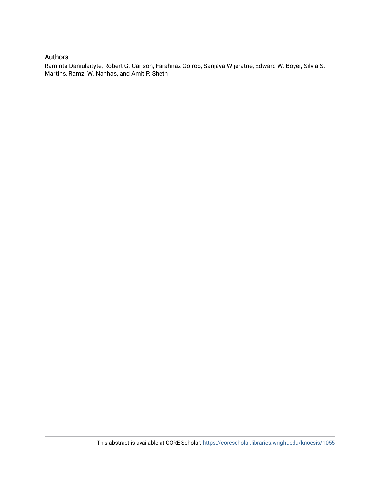### Authors

Raminta Daniulaityte, Robert G. Carlson, Farahnaz Golroo, Sanjaya Wijeratne, Edward W. Boyer, Silvia S. Martins, Ramzi W. Nahhas, and Amit P. Sheth